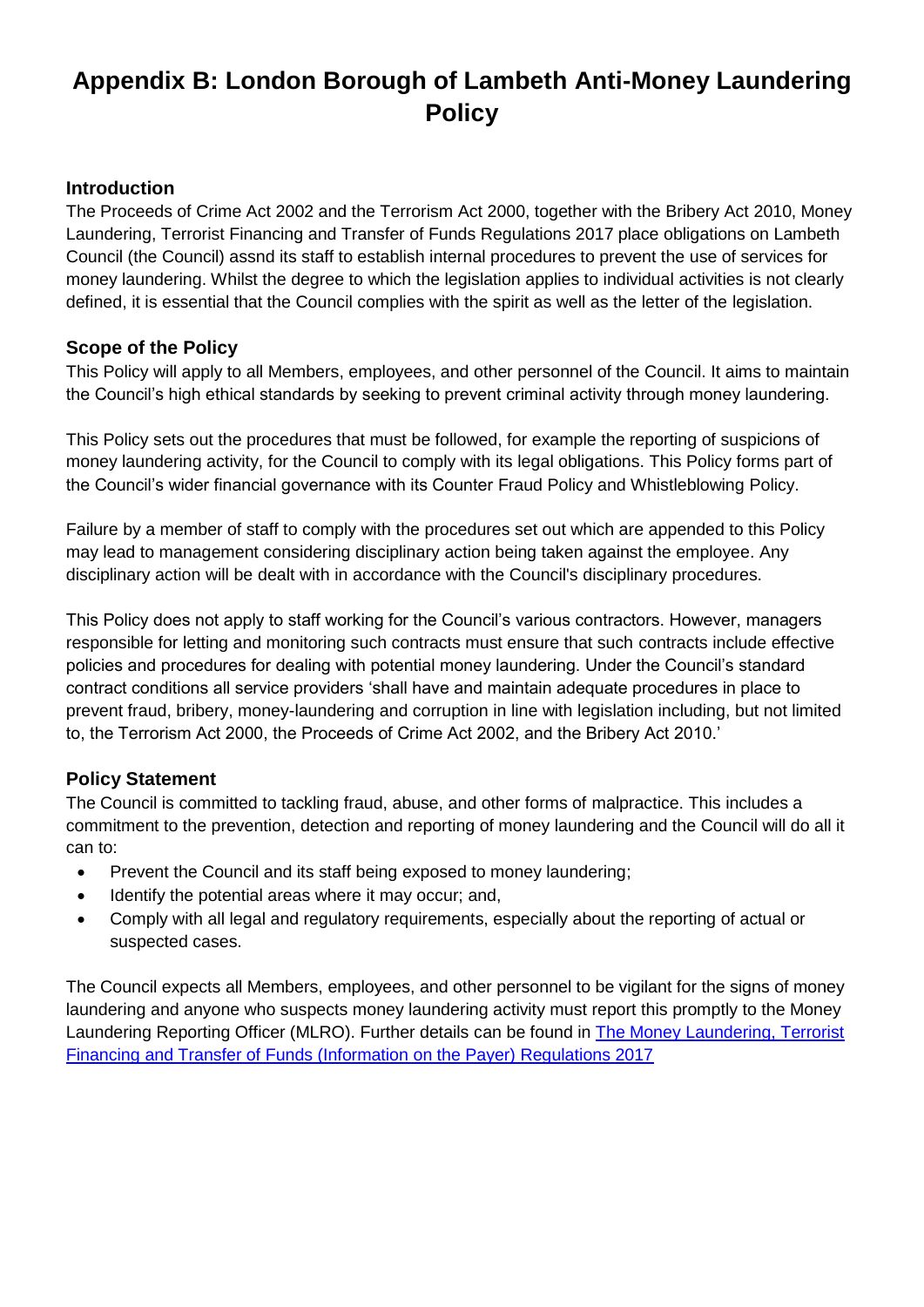# **Appendix B: London Borough of Lambeth Anti-Money Laundering Policy**

#### **Introduction**

The Proceeds of Crime Act 2002 and the Terrorism Act 2000, together with the Bribery Act 2010, Money Laundering, Terrorist Financing and Transfer of Funds Regulations 2017 place obligations on Lambeth Council (the Council) assnd its staff to establish internal procedures to prevent the use of services for money laundering. Whilst the degree to which the legislation applies to individual activities is not clearly defined, it is essential that the Council complies with the spirit as well as the letter of the legislation.

#### **Scope of the Policy**

This Policy will apply to all Members, employees, and other personnel of the Council. It aims to maintain the Council's high ethical standards by seeking to prevent criminal activity through money laundering.

This Policy sets out the procedures that must be followed, for example the reporting of suspicions of money laundering activity, for the Council to comply with its legal obligations. This Policy forms part of the Council's wider financial governance with its Counter Fraud Policy and Whistleblowing Policy.

Failure by a member of staff to comply with the procedures set out which are appended to this Policy may lead to management considering disciplinary action being taken against the employee. Any disciplinary action will be dealt with in accordance with the Council's disciplinary procedures.

This Policy does not apply to staff working for the Council's various contractors. However, managers responsible for letting and monitoring such contracts must ensure that such contracts include effective policies and procedures for dealing with potential money laundering. Under the Council's standard contract conditions all service providers 'shall have and maintain adequate procedures in place to prevent fraud, bribery, money-laundering and corruption in line with legislation including, but not limited to, the Terrorism Act 2000, the Proceeds of Crime Act 2002, and the Bribery Act 2010.'

#### **Policy Statement**

The Council is committed to tackling fraud, abuse, and other forms of malpractice. This includes a commitment to the prevention, detection and reporting of money laundering and the Council will do all it can to:

- Prevent the Council and its staff being exposed to money laundering;
- Identify the potential areas where it may occur; and,
- Comply with all legal and regulatory requirements, especially about the reporting of actual or suspected cases.

The Council expects all Members, employees, and other personnel to be vigilant for the signs of money laundering and anyone who suspects money laundering activity must report this promptly to the Money Laundering Reporting Officer (MLRO). Further details can be found in [The Money Laundering, Terrorist](https://www.legislation.gov.uk/uksi/2017/692/contents/made)  [Financing and Transfer of Funds \(Information on the Payer\) Regulations 2017](https://www.legislation.gov.uk/uksi/2017/692/contents/made)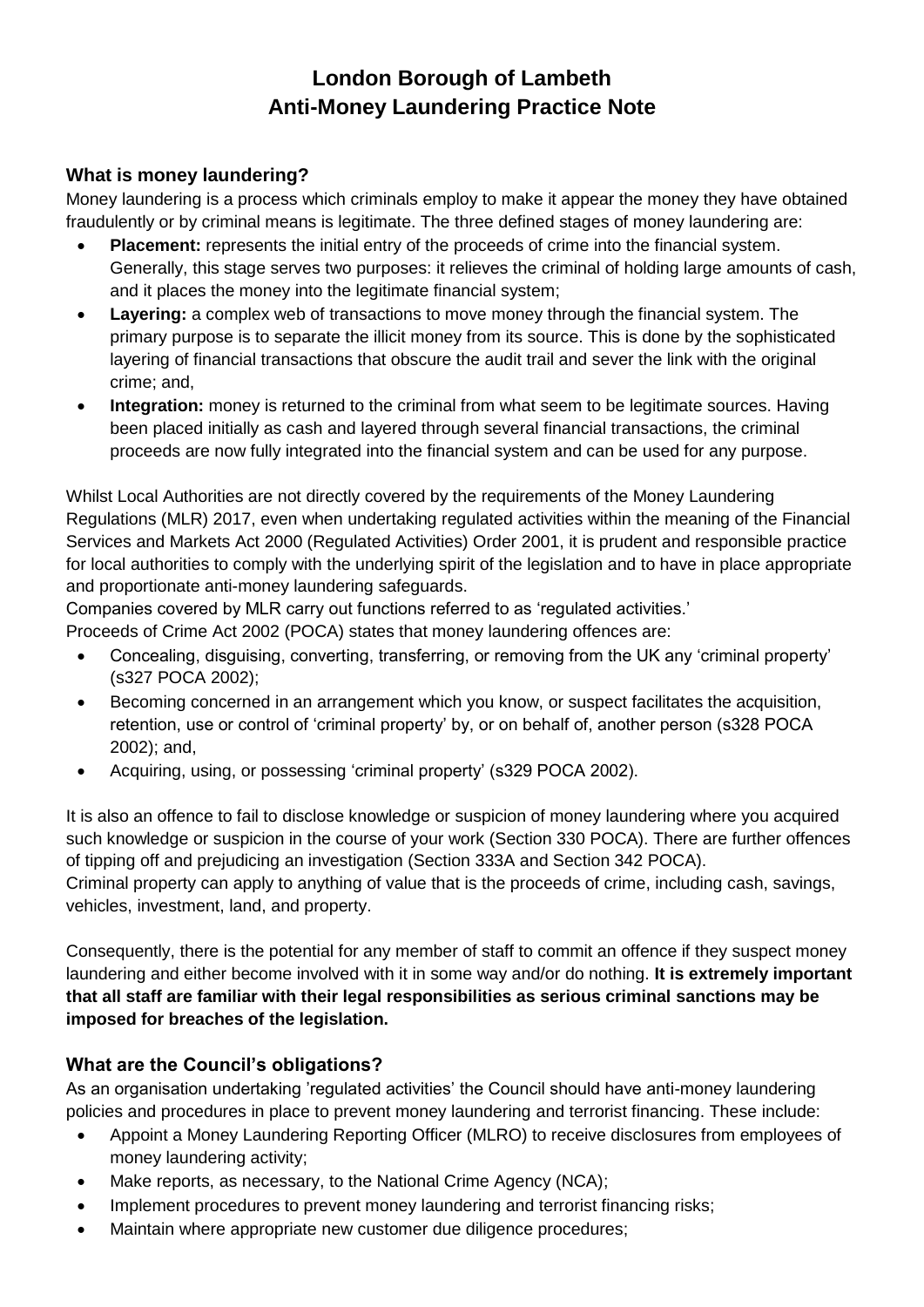# **London Borough of Lambeth Anti-Money Laundering Practice Note**

## **What is money laundering?**

Money laundering is a process which criminals employ to make it appear the money they have obtained fraudulently or by criminal means is legitimate. The three defined stages of money laundering are:

- **Placement:** represents the initial entry of the proceeds of crime into the financial system. Generally, this stage serves two purposes: it relieves the criminal of holding large amounts of cash, and it places the money into the legitimate financial system;
- **Layering:** a complex web of transactions to move money through the financial system. The primary purpose is to separate the illicit money from its source. This is done by the sophisticated layering of financial transactions that obscure the audit trail and sever the link with the original crime; and,
- **Integration:** money is returned to the criminal from what seem to be legitimate sources. Having been placed initially as cash and layered through several financial transactions, the criminal proceeds are now fully integrated into the financial system and can be used for any purpose.

Whilst Local Authorities are not directly covered by the requirements of the Money Laundering Regulations (MLR) 2017, even when undertaking regulated activities within the meaning of the Financial Services and Markets Act 2000 (Regulated Activities) Order 2001, it is prudent and responsible practice for local authorities to comply with the underlying spirit of the legislation and to have in place appropriate and proportionate anti-money laundering safeguards.

Companies covered by MLR carry out functions referred to as 'regulated activities.'

Proceeds of Crime Act 2002 (POCA) states that money laundering offences are:

- Concealing, disguising, converting, transferring, or removing from the UK any 'criminal property' (s327 POCA 2002);
- Becoming concerned in an arrangement which you know, or suspect facilitates the acquisition, retention, use or control of 'criminal property' by, or on behalf of, another person (s328 POCA 2002); and,
- Acquiring, using, or possessing 'criminal property' (s329 POCA 2002).

It is also an offence to fail to disclose knowledge or suspicion of money laundering where you acquired such knowledge or suspicion in the course of your work (Section 330 POCA). There are further offences of tipping off and prejudicing an investigation (Section 333A and Section 342 POCA). Criminal property can apply to anything of value that is the proceeds of crime, including cash, savings, vehicles, investment, land, and property.

Consequently, there is the potential for any member of staff to commit an offence if they suspect money laundering and either become involved with it in some way and/or do nothing. **It is extremely important that all staff are familiar with their legal responsibilities as serious criminal sanctions may be imposed for breaches of the legislation.**

#### **What are the Council's obligations?**

As an organisation undertaking 'regulated activities' the Council should have anti-money laundering policies and procedures in place to prevent money laundering and terrorist financing. These include:

- Appoint a Money Laundering Reporting Officer (MLRO) to receive disclosures from employees of money laundering activity;
- Make reports, as necessary, to the National Crime Agency (NCA);
- Implement procedures to prevent money laundering and terrorist financing risks;
- Maintain where appropriate new customer due diligence procedures;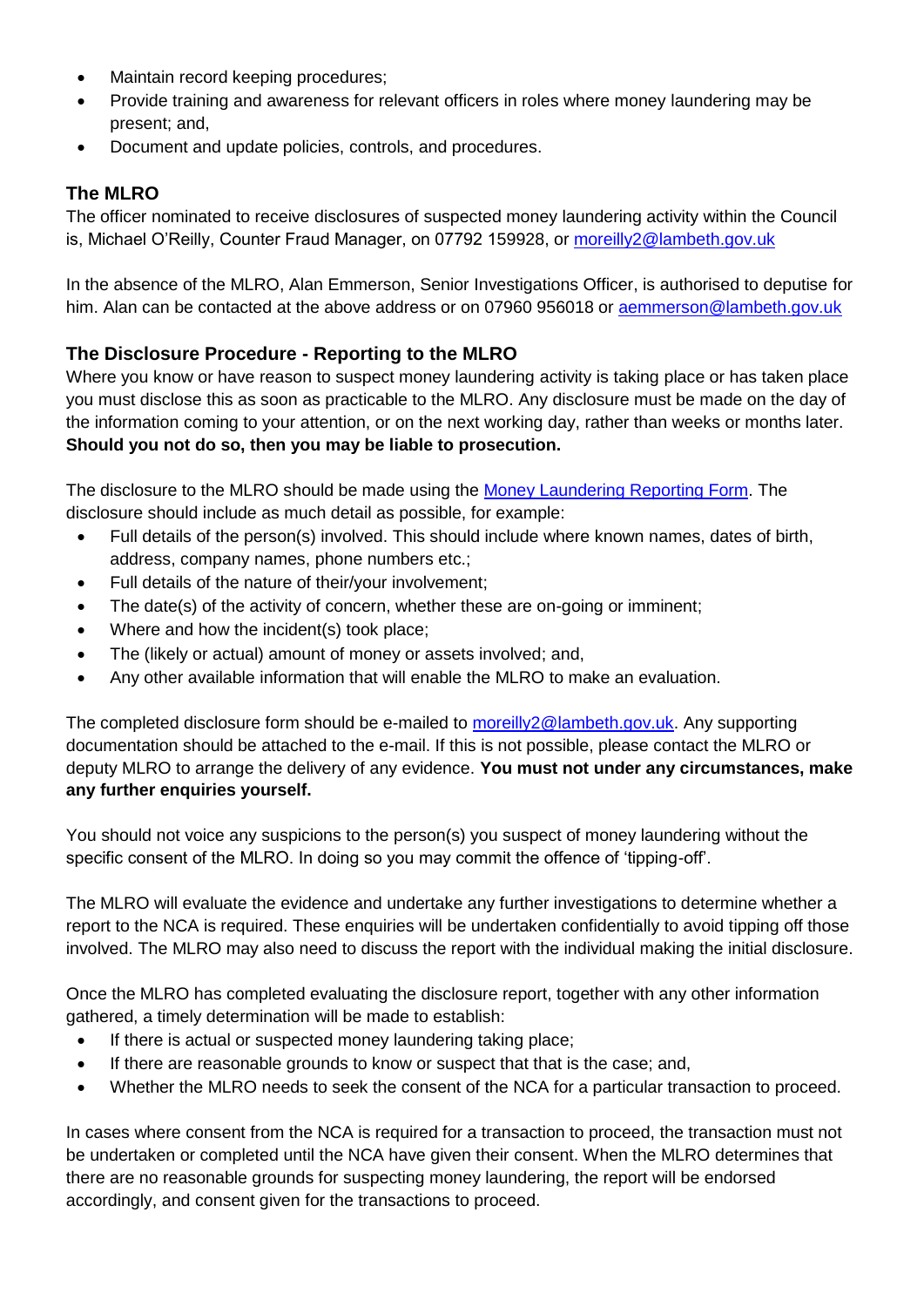- Maintain record keeping procedures;
- Provide training and awareness for relevant officers in roles where money laundering may be present; and,
- Document and update policies, controls, and procedures.

## **The MLRO**

The officer nominated to receive disclosures of suspected money laundering activity within the Council is, Michael O'Reilly, Counter Fraud Manager, on 07792 159928, or [moreilly2@lambeth.gov.uk](mailto:moreilly2@lambeth.gov.uk)

In the absence of the MLRO, Alan Emmerson, Senior Investigations Officer, is authorised to deputise for him. Alan can be contacted at the above address or on 07960 956018 or [aemmerson@lambeth.gov.uk](mailto:aemmerson@lambeth.gov.uk)

# **The Disclosure Procedure - Reporting to the MLRO**

Where you know or have reason to suspect money laundering activity is taking place or has taken place you must disclose this as soon as practicable to the MLRO. Any disclosure must be made on the day of the information coming to your attention, or on the next working day, rather than weeks or months later. **Should you not do so, then you may be liable to prosecution.**

The disclosure to the MLRO should be made using the [Money Laundering Reporting Form.](https://lambeth.sharepoint.com/:w:/r/teams/hub01/iacf/_layouts/15/Doc.aspx?sourcedoc=%7B0171A66D-EF49-47DC-AD4A-DC3DF8729F26%7D&file=Money%20Laundering%20Reporting%20Form.docx&action=default&mobileredirect=true) The disclosure should include as much detail as possible, for example:

- Full details of the person(s) involved. This should include where known names, dates of birth, address, company names, phone numbers etc.;
- Full details of the nature of their/your involvement;
- The date(s) of the activity of concern, whether these are on-going or imminent;
- Where and how the incident(s) took place;
- The (likely or actual) amount of money or assets involved; and,
- Any other available information that will enable the MLRO to make an evaluation.

The completed disclosure form should be e-mailed to [moreilly2@lambeth.gov.uk.](mailto:moreilly2@lambeth.gov.uk) Any supporting documentation should be attached to the e-mail. If this is not possible, please contact the MLRO or deputy MLRO to arrange the delivery of any evidence. **You must not under any circumstances, make any further enquiries yourself.**

You should not voice any suspicions to the person(s) you suspect of money laundering without the specific consent of the MLRO. In doing so you may commit the offence of 'tipping-off'.

The MLRO will evaluate the evidence and undertake any further investigations to determine whether a report to the NCA is required. These enquiries will be undertaken confidentially to avoid tipping off those involved. The MLRO may also need to discuss the report with the individual making the initial disclosure.

Once the MLRO has completed evaluating the disclosure report, together with any other information gathered, a timely determination will be made to establish:

- If there is actual or suspected money laundering taking place;
- If there are reasonable grounds to know or suspect that that is the case; and,
- Whether the MLRO needs to seek the consent of the NCA for a particular transaction to proceed.

In cases where consent from the NCA is required for a transaction to proceed, the transaction must not be undertaken or completed until the NCA have given their consent. When the MLRO determines that there are no reasonable grounds for suspecting money laundering, the report will be endorsed accordingly, and consent given for the transactions to proceed.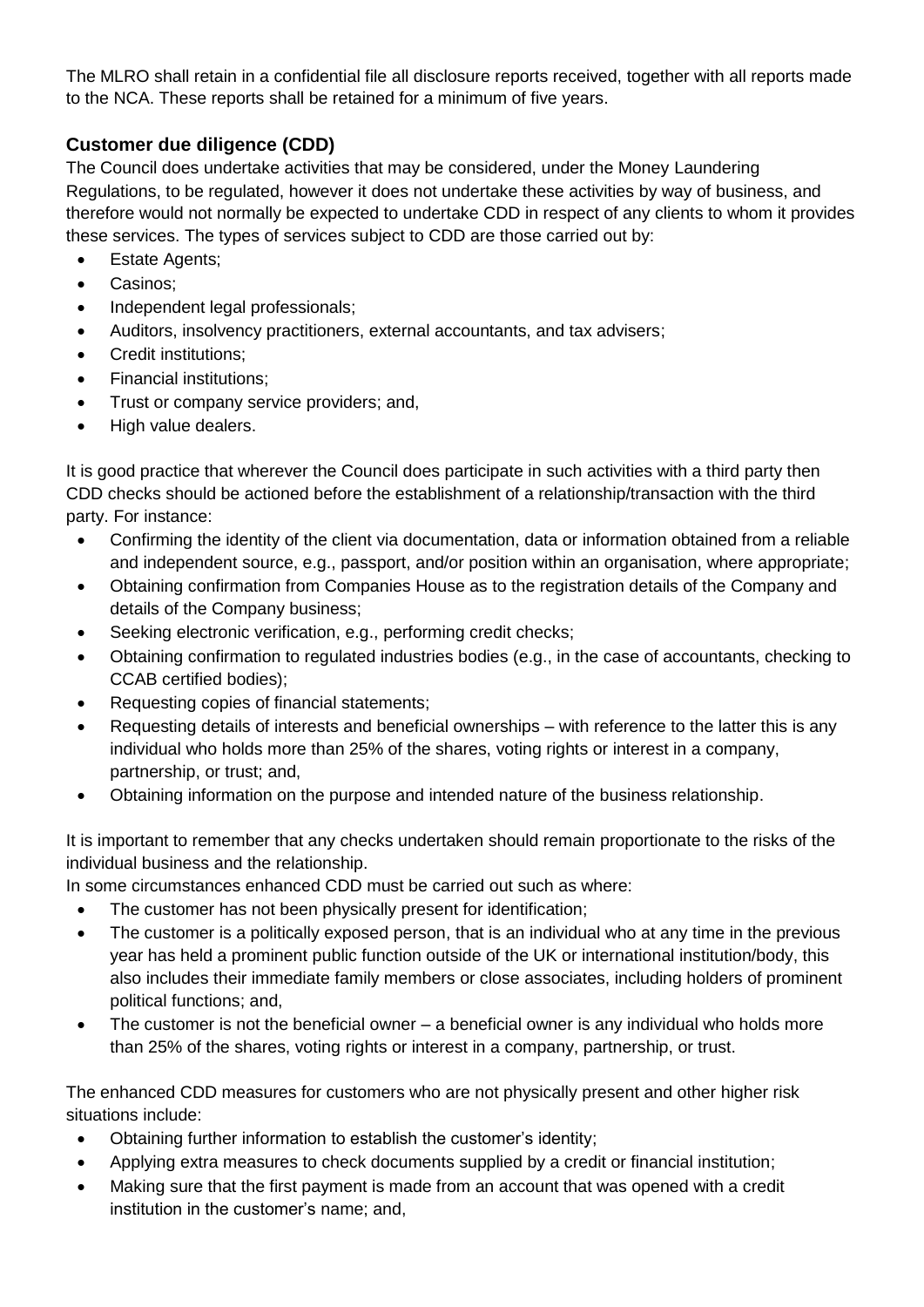The MLRO shall retain in a confidential file all disclosure reports received, together with all reports made to the NCA. These reports shall be retained for a minimum of five years.

# **Customer due diligence (CDD)**

The Council does undertake activities that may be considered, under the Money Laundering Regulations, to be regulated, however it does not undertake these activities by way of business, and therefore would not normally be expected to undertake CDD in respect of any clients to whom it provides these services. The types of services subject to CDD are those carried out by:

- Estate Agents;
- Casinos;
- Independent legal professionals;
- Auditors, insolvency practitioners, external accountants, and tax advisers;
- Credit institutions;
- Financial institutions;
- Trust or company service providers; and,
- High value dealers.

It is good practice that wherever the Council does participate in such activities with a third party then CDD checks should be actioned before the establishment of a relationship/transaction with the third party. For instance:

- Confirming the identity of the client via documentation, data or information obtained from a reliable and independent source, e.g., passport, and/or position within an organisation, where appropriate;
- Obtaining confirmation from Companies House as to the registration details of the Company and details of the Company business;
- Seeking electronic verification, e.g., performing credit checks;
- Obtaining confirmation to regulated industries bodies (e.g., in the case of accountants, checking to CCAB certified bodies);
- Requesting copies of financial statements;
- Requesting details of interests and beneficial ownerships with reference to the latter this is any individual who holds more than 25% of the shares, voting rights or interest in a company, partnership, or trust; and,
- Obtaining information on the purpose and intended nature of the business relationship.

It is important to remember that any checks undertaken should remain proportionate to the risks of the individual business and the relationship.

In some circumstances enhanced CDD must be carried out such as where:

- The customer has not been physically present for identification:
- The customer is a politically exposed person, that is an individual who at any time in the previous year has held a prominent public function outside of the UK or international institution/body, this also includes their immediate family members or close associates, including holders of prominent political functions; and,
- The customer is not the beneficial owner a beneficial owner is any individual who holds more than 25% of the shares, voting rights or interest in a company, partnership, or trust.

The enhanced CDD measures for customers who are not physically present and other higher risk situations include:

- Obtaining further information to establish the customer's identity;
- Applying extra measures to check documents supplied by a credit or financial institution;
- Making sure that the first payment is made from an account that was opened with a credit institution in the customer's name; and,